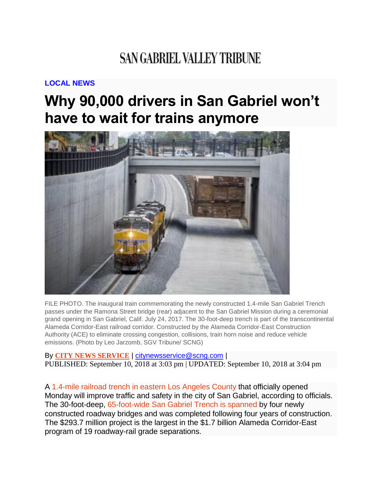## **SAN GABRIEL VALLEY TRIBUNE**

## **[LOCAL](https://www.sgvtribune.com/local-news/) NEWS**

## **Why 90,000 drivers in San Gabriel won't have to wait for trains anymore**



FILE PHOTO. The inaugural train commemorating the newly constructed 1.4-mile San Gabriel Trench passes under the Ramona Street bridge (rear) adjacent to the San Gabriel Mission during a ceremonial grand opening in San Gabriel, Calif. July 24, 2017. The 30-foot-deep trench is part of the transcontinental Alameda Corridor-East railroad corridor. Constructed by the Alameda Corridor-East Construction Authority (ACE) to eliminate crossing congestion, collisions, train horn noise and reduce vehicle emissions. (Photo by Leo Jarzomb, SGV Tribune/ SCNG)

By **CITY NEWS [SERVICE](https://www.sgvtribune.com/author/city-news-service/)** | [citynewsservice@scng.com](mailto:citynewsservice@scng.com) | PUBLISHED: September 10, 2018 at 3:03 pm | UPDATED: September 10, 2018 at 3:04 pm

A 1.4-mile railroad trench in eastern Los [Angeles](https://www.sgvtribune.com/2017/07/24/first-freight-train-passes-through-new-trench-next-to-san-gabriel-mission/) County that officially opened Monday will improve traffic and safety in the city of San Gabriel, according to officials. The 30-foot-deep, [65-foot-wide](https://www.sgvtribune.com/2017/07/24/30-foot-deep-65-foot-wide-train-trench-quiets-rails-near-san-gabriel-mission/) San Gabriel Trench is spanned by four newly constructed roadway bridges and was completed following four years of construction. The \$293.7 million project is the largest in the \$1.7 billion Alameda Corridor-East program of 19 roadway-rail grade separations.